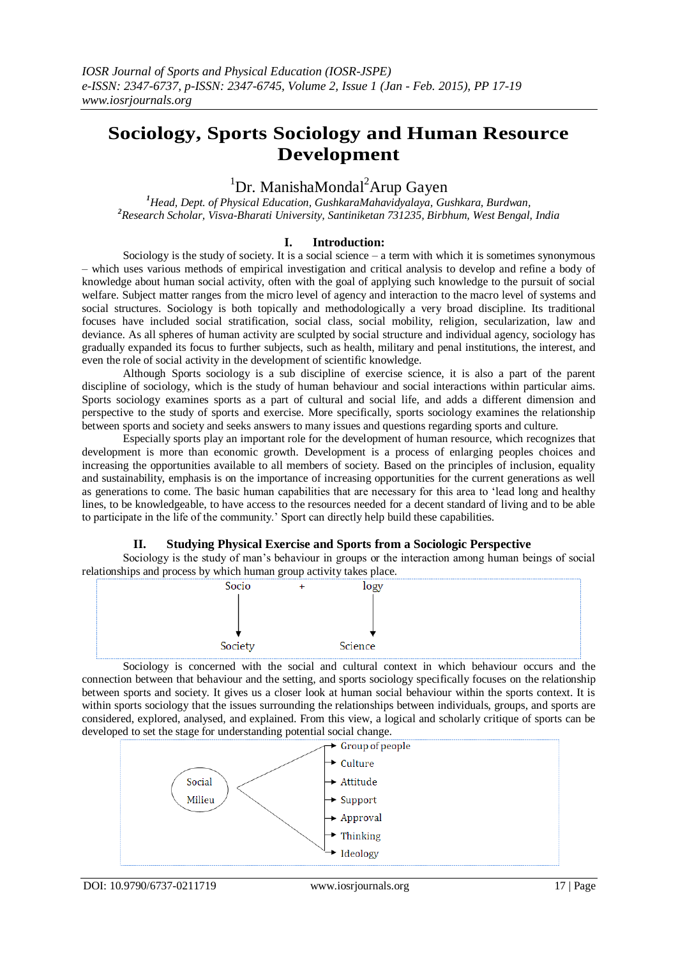# **Sociology, Sports Sociology and Human Resource Development**

## ${}^{1}$ Dr. ManishaMondal<sup>2</sup>Arup Gayen

*<sup>1</sup>Head, Dept. of Physical Education, GushkaraMahavidyalaya, Gushkara, Burdwan, <sup>2</sup>Research Scholar, Visva-Bharati University, Santiniketan 731235, Birbhum, West Bengal, India*

### **I. Introduction:**

Sociology is the study of society. It is a social science – a term with which it is sometimes synonymous – which uses various methods of empirical investigation and critical analysis to develop and refine a body of knowledge about human social activity, often with the goal of applying such knowledge to the pursuit of social welfare. Subject matter ranges from the micro level of agency and interaction to the macro level of systems and social structures. Sociology is both topically and methodologically a very broad discipline. Its traditional focuses have included social stratification, social class, social mobility, religion, secularization, law and deviance. As all spheres of human activity are sculpted by social structure and individual agency, sociology has gradually expanded its focus to further subjects, such as health, military and penal institutions, the interest, and even the role of social activity in the development of scientific knowledge.

Although Sports sociology is a sub discipline of exercise science, it is also a part of the parent discipline of sociology, which is the study of human behaviour and social interactions within particular aims. Sports sociology examines sports as a part of cultural and social life, and adds a different dimension and perspective to the study of sports and exercise. More specifically, sports sociology examines the relationship between sports and society and seeks answers to many issues and questions regarding sports and culture.

Especially sports play an important role for the development of human resource, which recognizes that development is more than economic growth. Development is a process of enlarging peoples choices and increasing the opportunities available to all members of society. Based on the principles of inclusion, equality and sustainability, emphasis is on the importance of increasing opportunities for the current generations as well as generations to come. The basic human capabilities that are necessary for this area to "lead long and healthy lines, to be knowledgeable, to have access to the resources needed for a decent standard of living and to be able to participate in the life of the community." Sport can directly help build these capabilities.

### **II. Studying Physical Exercise and Sports from a Sociologic Perspective**

Sociology is the study of man"s behaviour in groups or the interaction among human beings of social relationships and process by which human group activity takes place.



Sociology is concerned with the social and cultural context in which behaviour occurs and the connection between that behaviour and the setting, and sports sociology specifically focuses on the relationship between sports and society. It gives us a closer look at human social behaviour within the sports context. It is within sports sociology that the issues surrounding the relationships between individuals, groups, and sports are considered, explored, analysed, and explained. From this view, a logical and scholarly critique of sports can be developed to set the stage for understanding potential social change.

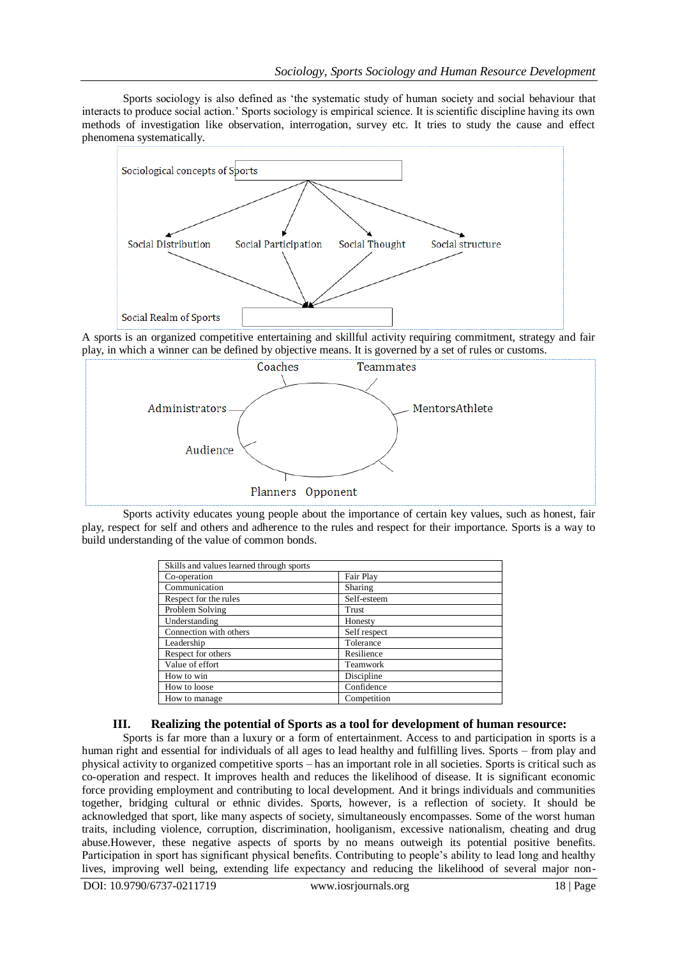Sports sociology is also defined as "the systematic study of human society and social behaviour that interacts to produce social action." Sports sociology is empirical science. It is scientific discipline having its own methods of investigation like observation, interrogation, survey etc. It tries to study the cause and effect phenomena systematically.



A sports is an organized competitive entertaining and skillful activity requiring commitment, strategy and fair play, in which a winner can be defined by objective means. It is governed by a set of rules or customs.



Sports activity educates young people about the importance of certain key values, such as honest, fair play, respect for self and others and adherence to the rules and respect for their importance. Sports is a way to build understanding of the value of common bonds.

| Skills and values learned through sports |              |
|------------------------------------------|--------------|
| Co-operation                             | Fair Play    |
| Communication                            | Sharing      |
| Respect for the rules                    | Self-esteem  |
| Problem Solving                          | Trust        |
| Understanding                            | Honesty      |
| Connection with others                   | Self respect |
| Leadership                               | Tolerance    |
| Respect for others                       | Resilience   |
| Value of effort                          | Teamwork     |
| How to win                               | Discipline   |
| How to loose                             | Confidence   |
| How to manage                            | Competition  |

### **III. Realizing the potential of Sports as a tool for development of human resource:**

Sports is far more than a luxury or a form of entertainment. Access to and participation in sports is a human right and essential for individuals of all ages to lead healthy and fulfilling lives. Sports – from play and physical activity to organized competitive sports – has an important role in all societies. Sports is critical such as co-operation and respect. It improves health and reduces the likelihood of disease. It is significant economic force providing employment and contributing to local development. And it brings individuals and communities together, bridging cultural or ethnic divides. Sports, however, is a reflection of society. It should be acknowledged that sport, like many aspects of society, simultaneously encompasses. Some of the worst human traits, including violence, corruption, discrimination, hooliganism, excessive nationalism, cheating and drug abuse.However, these negative aspects of sports by no means outweigh its potential positive benefits. Participation in sport has significant physical benefits. Contributing to people's ability to lead long and healthy lives, improving well being, extending life expectancy and reducing the likelihood of several major non